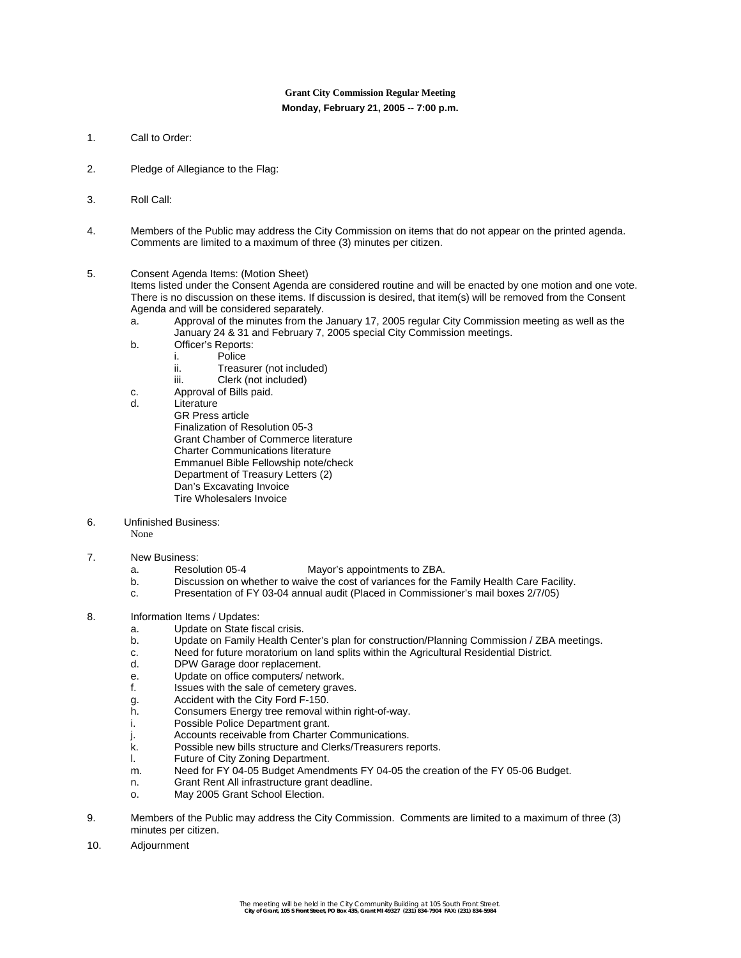# **Grant City Commission Regular Meeting Monday, February 21, 2005 -- 7:00 p.m.**

- 1. Call to Order:
- 2. Pledge of Allegiance to the Flag:
- 3. Roll Call:
- 4. Members of the Public may address the City Commission on items that do not appear on the printed agenda. Comments are limited to a maximum of three (3) minutes per citizen.
- 5. Consent Agenda Items: (Motion Sheet)

Items listed under the Consent Agenda are considered routine and will be enacted by one motion and one vote. There is no discussion on these items. If discussion is desired, that item(s) will be removed from the Consent Agenda and will be considered separately.

- a. Approval of the minutes from the January 17, 2005 regular City Commission meeting as well as the January 24 & 31 and February 7, 2005 special City Commission meetings.
- b. Officer's Reports:
	- i. Police<br>ii. Treasu
	- Treasurer (not included)
	- iii. Clerk (not included)
- c. Approval of Bills paid.
- d. Literature
	- GR Press article Finalization of Resolution 05-3 Grant Chamber of Commerce literature Charter Communications literature Emmanuel Bible Fellowship note/check Department of Treasury Letters (2) Dan's Excavating Invoice Tire Wholesalers Invoice
- 6. Unfinished Business:
	- None
- 7. New Business:
	- a. Resolution 05-4 Mayor's appointments to ZBA.
	- b. Discussion on whether to waive the cost of variances for the Family Health Care Facility.
	- c. Presentation of FY 03-04 annual audit (Placed in Commissioner's mail boxes 2/7/05)
- 8. Information Items / Updates:
	- a. Update on State fiscal crisis.
	- b. Update on Family Health Center's plan for construction/Planning Commission / ZBA meetings.
	- c. Need for future moratorium on land splits within the Agricultural Residential District.
	- DPW Garage door replacement.
	- e. Update on office computers/ network.
	- f. Issues with the sale of cemetery graves.
	- g. Accident with the City Ford F-150.
	- h. Consumers Energy tree removal within right-of-way.
	- i. Possible Police Department grant.
	- j. Accounts receivable from Charter Communications.
	- k. Possible new bills structure and Clerks/Treasurers reports.
	- l. Future of City Zoning Department.
	- m. Need for FY 04-05 Budget Amendments FY 04-05 the creation of the FY 05-06 Budget.
	- n. Grant Rent All infrastructure grant deadline.
	- o. May 2005 Grant School Election.
- 9. Members of the Public may address the City Commission. Comments are limited to a maximum of three (3) minutes per citizen.
- 10. Adjournment